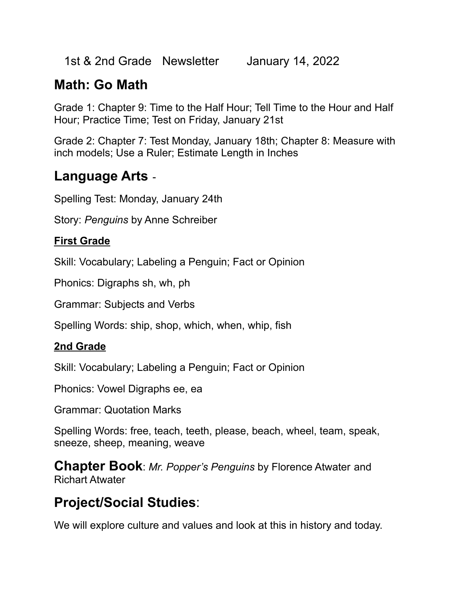1st & 2nd Grade Newsletter January 14, 2022

#### **Math: Go Math**

Grade 1: Chapter 9: Time to the Half Hour; Tell Time to the Hour and Half Hour; Practice Time; Test on Friday, January 21st

Grade 2: Chapter 7: Test Monday, January 18th; Chapter 8: Measure with inch models; Use a Ruler; Estimate Length in Inches

#### **Language Arts** -

Spelling Test: Monday, January 24th

Story: *Penguins* by Anne Schreiber

#### **First Grade**

Skill: Vocabulary; Labeling a Penguin; Fact or Opinion

Phonics: Digraphs sh, wh, ph

Grammar: Subjects and Verbs

Spelling Words: ship, shop, which, when, whip, fish

#### **2nd Grade**

Skill: Vocabulary; Labeling a Penguin; Fact or Opinion

Phonics: Vowel Digraphs ee, ea

Grammar: Quotation Marks

Spelling Words: free, teach, teeth, please, beach, wheel, team, speak, sneeze, sheep, meaning, weave

**Chapter Book**: *Mr. Popper's Penguins* by Florence Atwater and Richart Atwater

## **Project/Social Studies**:

We will explore culture and values and look at this in history and today.